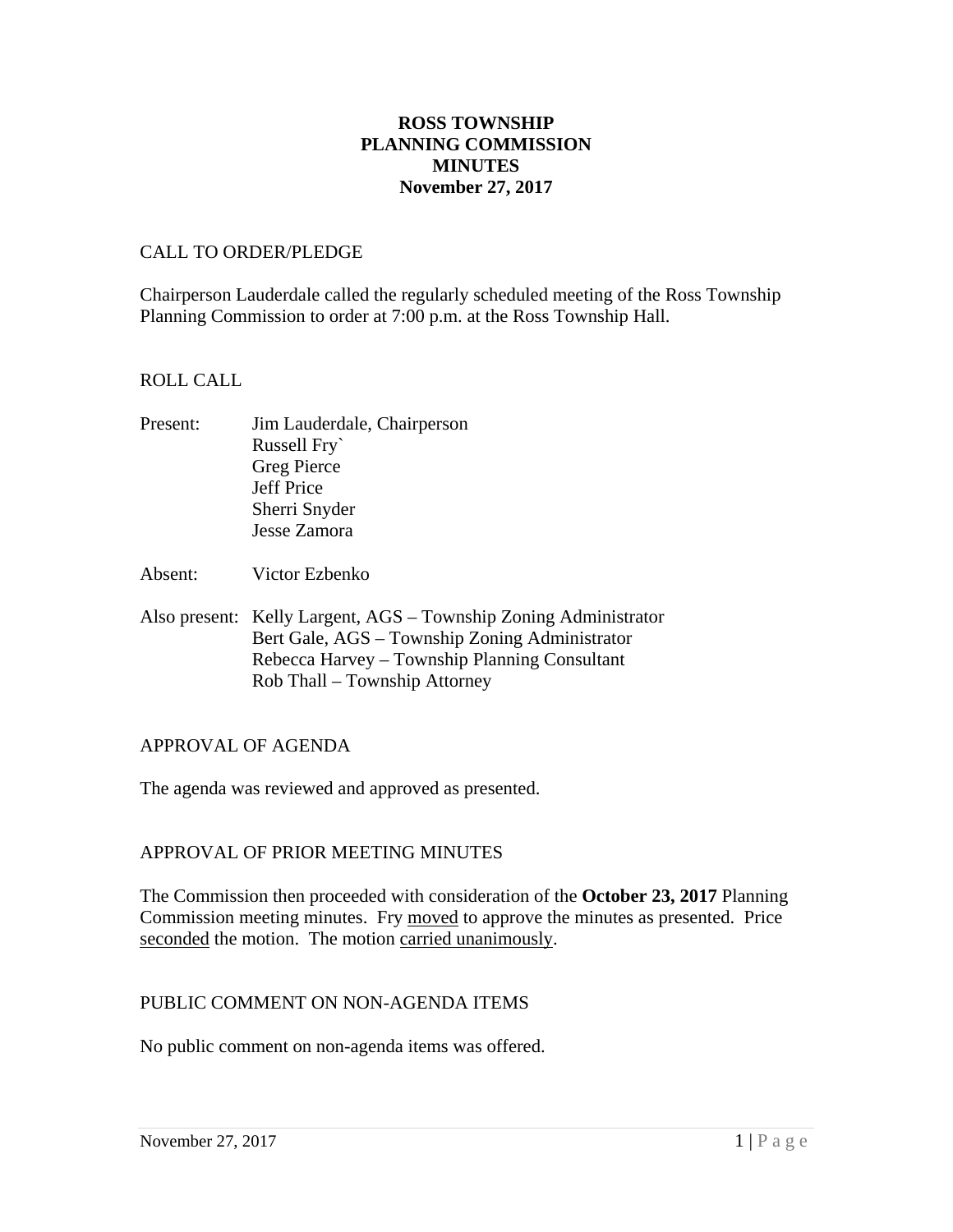# **ROSS TOWNSHIP PLANNING COMMISSION MINUTES November 27, 2017**

#### CALL TO ORDER/PLEDGE

Chairperson Lauderdale called the regularly scheduled meeting of the Ross Township Planning Commission to order at 7:00 p.m. at the Ross Township Hall.

### ROLL CALL

- Present: Jim Lauderdale, Chairperson Russell Fry` Greg Pierce Jeff Price Sherri Snyder Jesse Zamora
- Absent: Victor Ezbenko
- Also present: Kelly Largent, AGS Township Zoning Administrator Bert Gale, AGS – Township Zoning Administrator Rebecca Harvey – Township Planning Consultant Rob Thall – Township Attorney

# APPROVAL OF AGENDA

The agenda was reviewed and approved as presented.

# APPROVAL OF PRIOR MEETING MINUTES

The Commission then proceeded with consideration of the **October 23, 2017** Planning Commission meeting minutes. Fry moved to approve the minutes as presented. Price seconded the motion. The motion carried unanimously.

# PUBLIC COMMENT ON NON-AGENDA ITEMS

No public comment on non-agenda items was offered.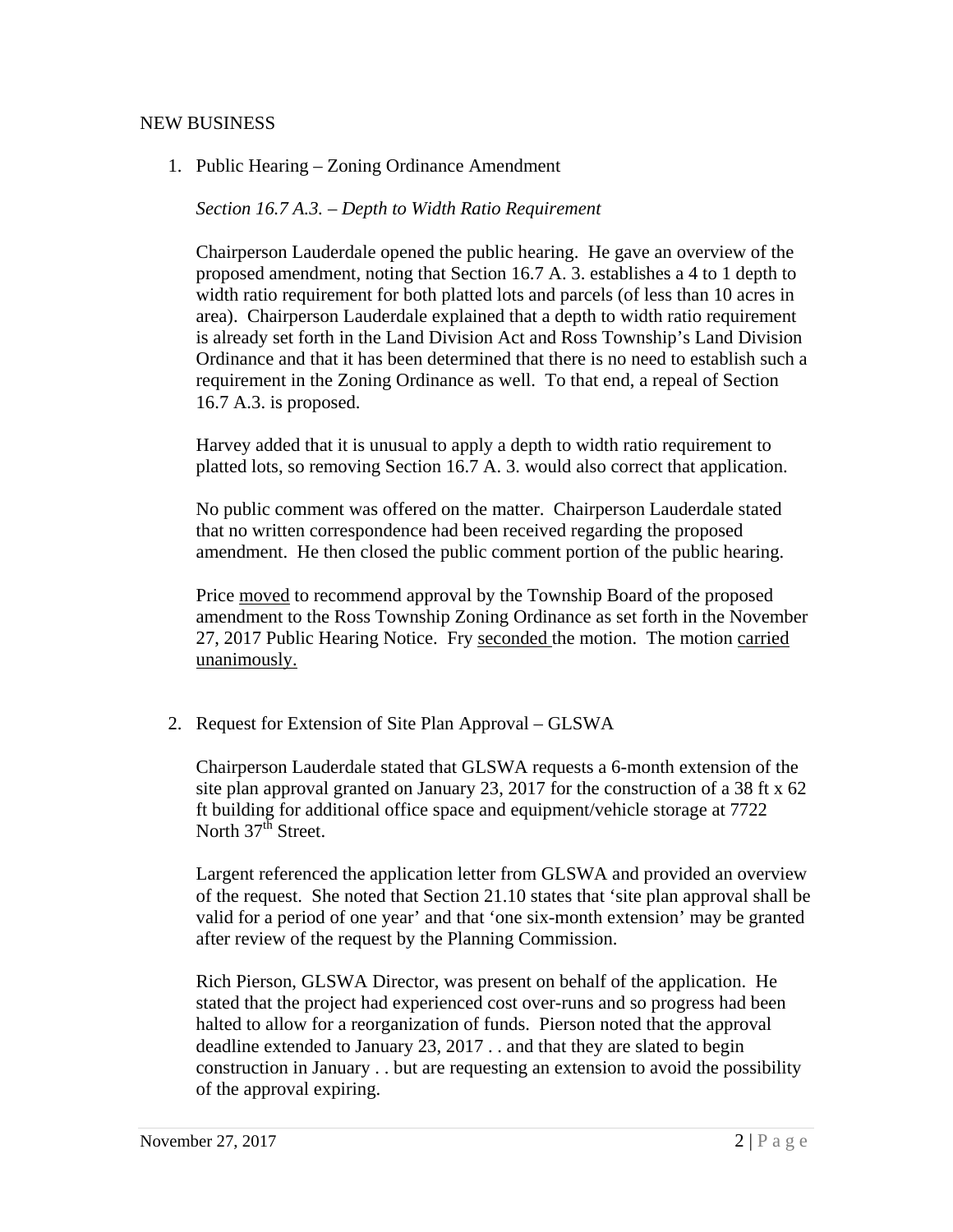### NEW BUSINESS

1. Public Hearing – Zoning Ordinance Amendment

*Section 16.7 A.3. – Depth to Width Ratio Requirement* 

Chairperson Lauderdale opened the public hearing. He gave an overview of the proposed amendment, noting that Section 16.7 A. 3. establishes a 4 to 1 depth to width ratio requirement for both platted lots and parcels (of less than 10 acres in area). Chairperson Lauderdale explained that a depth to width ratio requirement is already set forth in the Land Division Act and Ross Township's Land Division Ordinance and that it has been determined that there is no need to establish such a requirement in the Zoning Ordinance as well. To that end, a repeal of Section 16.7 A.3. is proposed.

Harvey added that it is unusual to apply a depth to width ratio requirement to platted lots, so removing Section 16.7 A. 3. would also correct that application.

No public comment was offered on the matter. Chairperson Lauderdale stated that no written correspondence had been received regarding the proposed amendment. He then closed the public comment portion of the public hearing.

Price moved to recommend approval by the Township Board of the proposed amendment to the Ross Township Zoning Ordinance as set forth in the November 27, 2017 Public Hearing Notice. Fry seconded the motion. The motion carried unanimously.

2. Request for Extension of Site Plan Approval – GLSWA

Chairperson Lauderdale stated that GLSWA requests a 6-month extension of the site plan approval granted on January 23, 2017 for the construction of a 38 ft x 62 ft building for additional office space and equipment/vehicle storage at 7722 North  $37<sup>th</sup>$  Street.

Largent referenced the application letter from GLSWA and provided an overview of the request. She noted that Section 21.10 states that 'site plan approval shall be valid for a period of one year' and that 'one six-month extension' may be granted after review of the request by the Planning Commission.

Rich Pierson, GLSWA Director, was present on behalf of the application. He stated that the project had experienced cost over-runs and so progress had been halted to allow for a reorganization of funds. Pierson noted that the approval deadline extended to January 23, 2017 . . and that they are slated to begin construction in January . . but are requesting an extension to avoid the possibility of the approval expiring.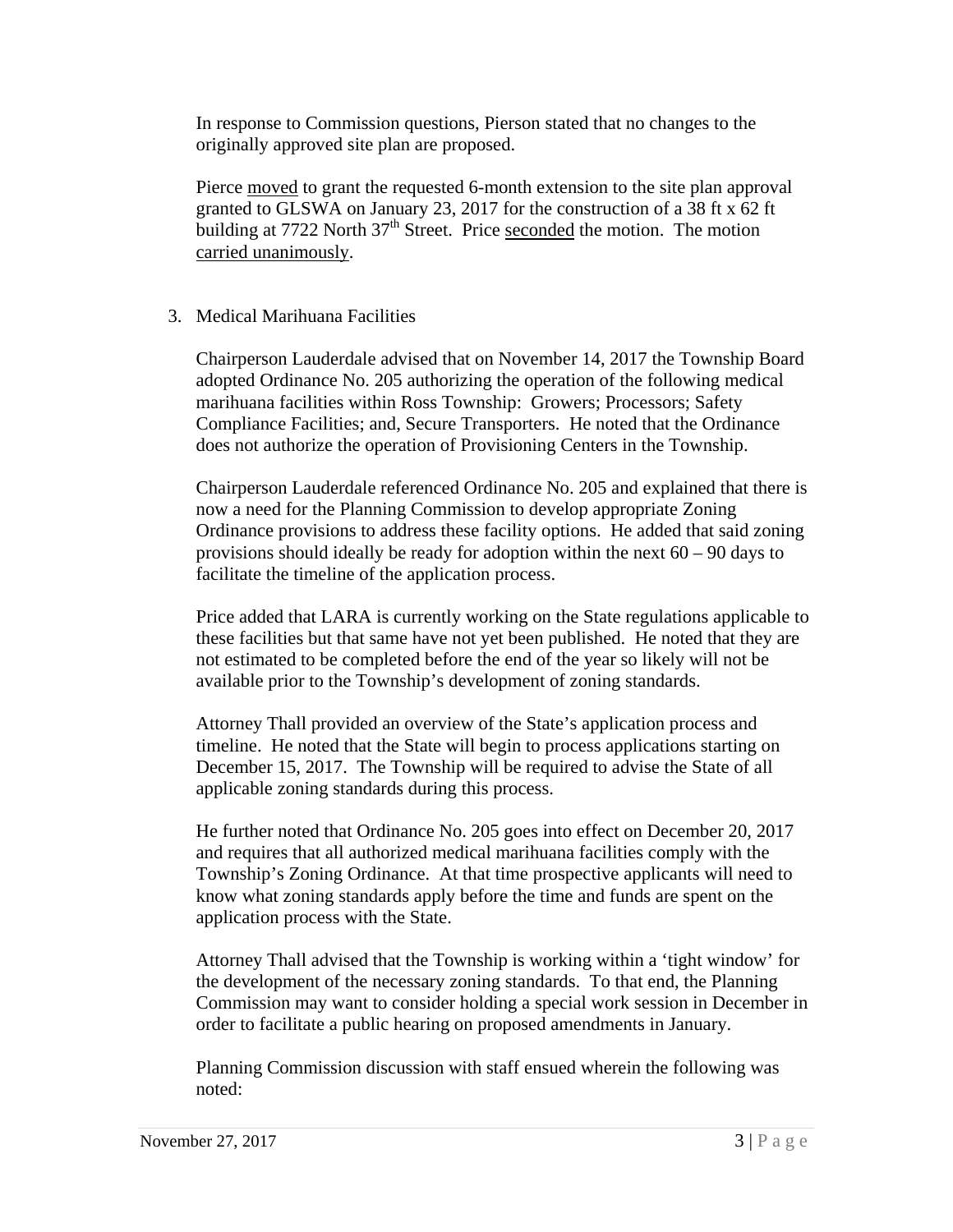In response to Commission questions, Pierson stated that no changes to the originally approved site plan are proposed.

Pierce moved to grant the requested 6-month extension to the site plan approval granted to GLSWA on January 23, 2017 for the construction of a 38 ft x 62 ft building at 7722 North 37<sup>th</sup> Street. Price seconded the motion. The motion carried unanimously.

# 3. Medical Marihuana Facilities

Chairperson Lauderdale advised that on November 14, 2017 the Township Board adopted Ordinance No. 205 authorizing the operation of the following medical marihuana facilities within Ross Township: Growers; Processors; Safety Compliance Facilities; and, Secure Transporters. He noted that the Ordinance does not authorize the operation of Provisioning Centers in the Township.

Chairperson Lauderdale referenced Ordinance No. 205 and explained that there is now a need for the Planning Commission to develop appropriate Zoning Ordinance provisions to address these facility options. He added that said zoning provisions should ideally be ready for adoption within the next  $60 - 90$  days to facilitate the timeline of the application process.

Price added that LARA is currently working on the State regulations applicable to these facilities but that same have not yet been published. He noted that they are not estimated to be completed before the end of the year so likely will not be available prior to the Township's development of zoning standards.

Attorney Thall provided an overview of the State's application process and timeline. He noted that the State will begin to process applications starting on December 15, 2017. The Township will be required to advise the State of all applicable zoning standards during this process.

He further noted that Ordinance No. 205 goes into effect on December 20, 2017 and requires that all authorized medical marihuana facilities comply with the Township's Zoning Ordinance. At that time prospective applicants will need to know what zoning standards apply before the time and funds are spent on the application process with the State.

Attorney Thall advised that the Township is working within a 'tight window' for the development of the necessary zoning standards. To that end, the Planning Commission may want to consider holding a special work session in December in order to facilitate a public hearing on proposed amendments in January.

Planning Commission discussion with staff ensued wherein the following was noted: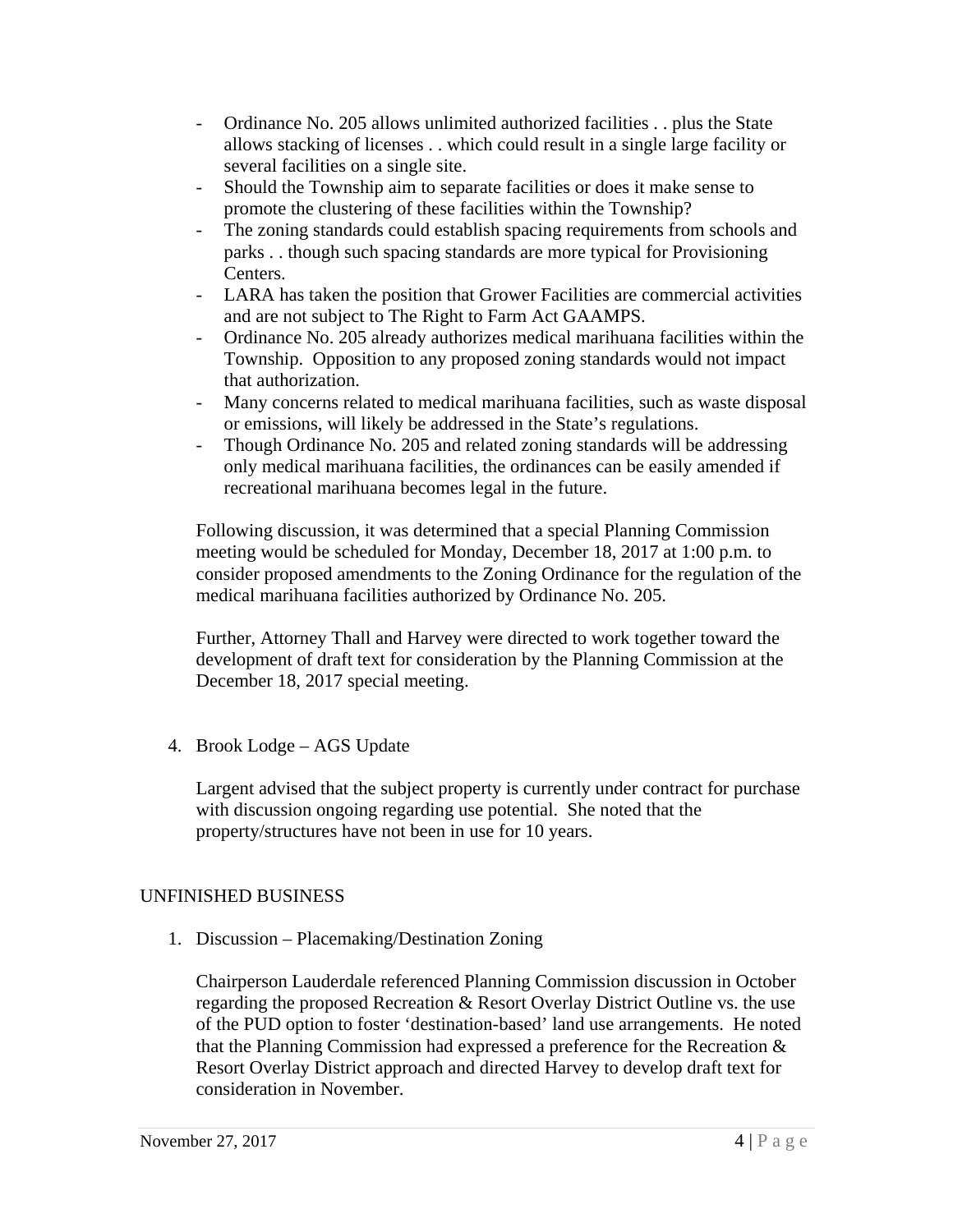- Ordinance No. 205 allows unlimited authorized facilities . . plus the State allows stacking of licenses . . which could result in a single large facility or several facilities on a single site.
- Should the Township aim to separate facilities or does it make sense to promote the clustering of these facilities within the Township?
- The zoning standards could establish spacing requirements from schools and parks . . though such spacing standards are more typical for Provisioning Centers.
- LARA has taken the position that Grower Facilities are commercial activities and are not subject to The Right to Farm Act GAAMPS.
- Ordinance No. 205 already authorizes medical marihuana facilities within the Township. Opposition to any proposed zoning standards would not impact that authorization.
- Many concerns related to medical marihuana facilities, such as waste disposal or emissions, will likely be addressed in the State's regulations.
- Though Ordinance No. 205 and related zoning standards will be addressing only medical marihuana facilities, the ordinances can be easily amended if recreational marihuana becomes legal in the future.

Following discussion, it was determined that a special Planning Commission meeting would be scheduled for Monday, December 18, 2017 at 1:00 p.m. to consider proposed amendments to the Zoning Ordinance for the regulation of the medical marihuana facilities authorized by Ordinance No. 205.

Further, Attorney Thall and Harvey were directed to work together toward the development of draft text for consideration by the Planning Commission at the December 18, 2017 special meeting.

4. Brook Lodge – AGS Update

Largent advised that the subject property is currently under contract for purchase with discussion ongoing regarding use potential. She noted that the property/structures have not been in use for 10 years.

# UNFINISHED BUSINESS

1. Discussion – Placemaking/Destination Zoning

Chairperson Lauderdale referenced Planning Commission discussion in October regarding the proposed Recreation & Resort Overlay District Outline vs. the use of the PUD option to foster 'destination-based' land use arrangements. He noted that the Planning Commission had expressed a preference for the Recreation & Resort Overlay District approach and directed Harvey to develop draft text for consideration in November.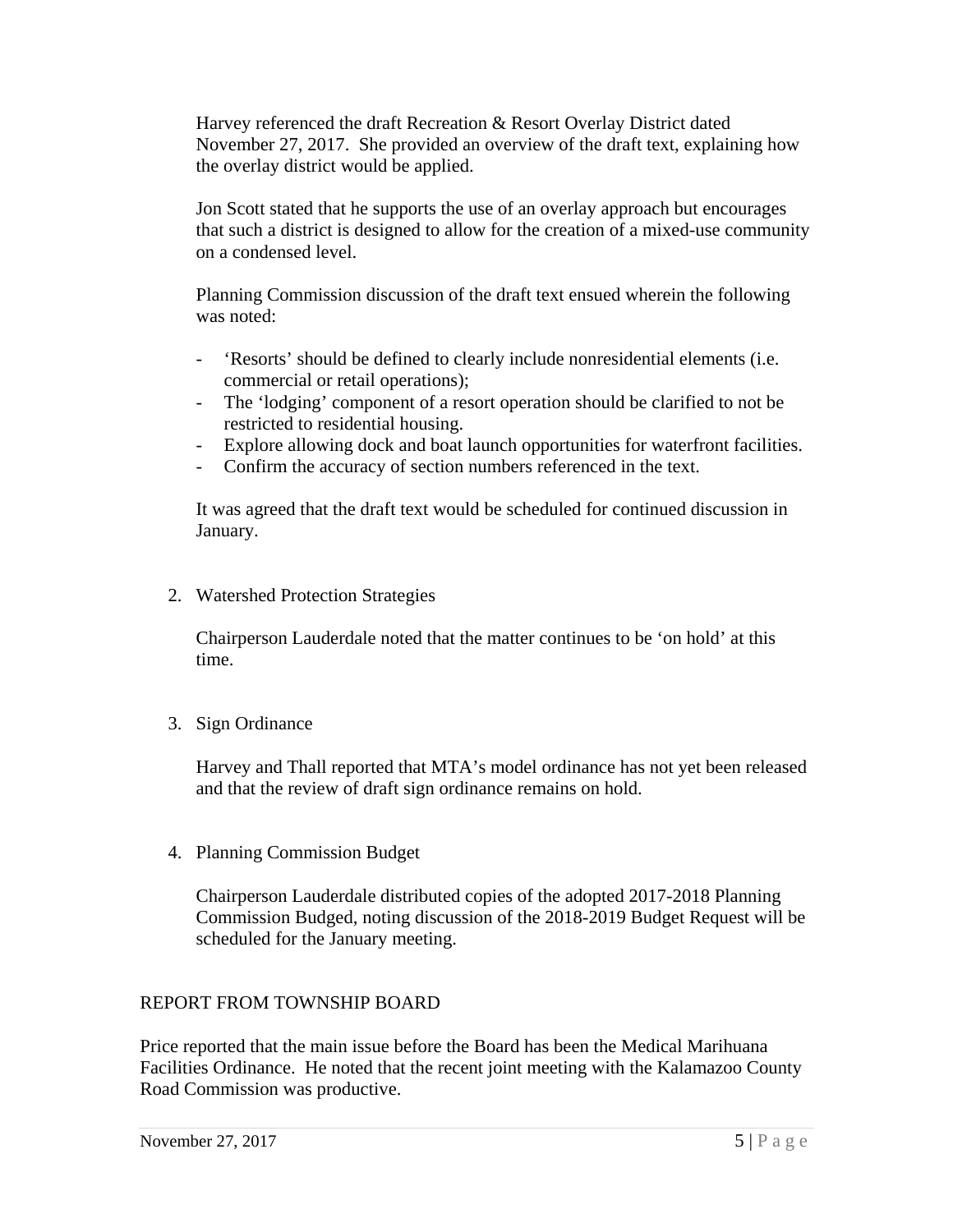Harvey referenced the draft Recreation & Resort Overlay District dated November 27, 2017. She provided an overview of the draft text, explaining how the overlay district would be applied.

Jon Scott stated that he supports the use of an overlay approach but encourages that such a district is designed to allow for the creation of a mixed-use community on a condensed level.

Planning Commission discussion of the draft text ensued wherein the following was noted:

- 'Resorts' should be defined to clearly include nonresidential elements (i.e. commercial or retail operations);
- The 'lodging' component of a resort operation should be clarified to not be restricted to residential housing.
- Explore allowing dock and boat launch opportunities for waterfront facilities.
- Confirm the accuracy of section numbers referenced in the text.

It was agreed that the draft text would be scheduled for continued discussion in January.

2. Watershed Protection Strategies

Chairperson Lauderdale noted that the matter continues to be 'on hold' at this time.

3. Sign Ordinance

Harvey and Thall reported that MTA's model ordinance has not yet been released and that the review of draft sign ordinance remains on hold.

4. Planning Commission Budget

Chairperson Lauderdale distributed copies of the adopted 2017-2018 Planning Commission Budged, noting discussion of the 2018-2019 Budget Request will be scheduled for the January meeting.

# REPORT FROM TOWNSHIP BOARD

Price reported that the main issue before the Board has been the Medical Marihuana Facilities Ordinance. He noted that the recent joint meeting with the Kalamazoo County Road Commission was productive.